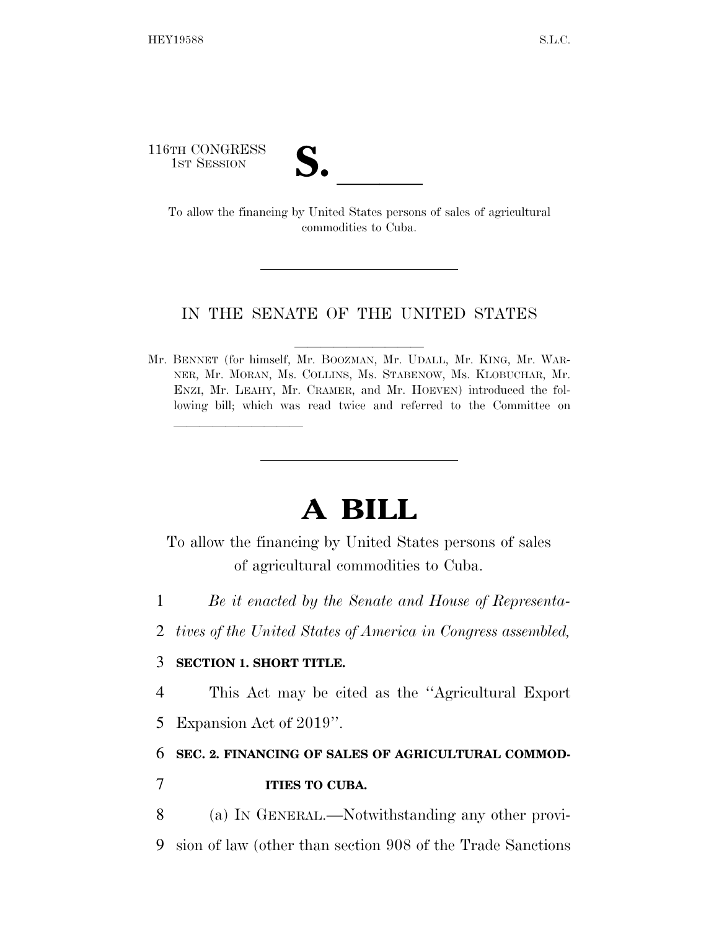116TH CONGRESS

TH CONGRESS<br>
1st Session<br>
To allow the financing by United States persons of sales of agricultural commodities to Cuba.

## IN THE SENATE OF THE UNITED STATES

Mr. BENNET (for himself, Mr. BOOZMAN, Mr. UDALL, Mr. KING, Mr. WAR-NER, Mr. MORAN, Ms. COLLINS, Ms. STABENOW, Ms. KLOBUCHAR, Mr. ENZI, Mr. LEAHY, Mr. CRAMER, and Mr. HOEVEN) introduced the following bill; which was read twice and referred to the Committee on

## **A BILL**

To allow the financing by United States persons of sales of agricultural commodities to Cuba.

- 1 *Be it enacted by the Senate and House of Representa-*
- 2 *tives of the United States of America in Congress assembled,*

## 3 **SECTION 1. SHORT TITLE.**

lla se a constituída a constituída a constituída a constituída a constituída a constituída a constituída a con

4 This Act may be cited as the ''Agricultural Export

5 Expansion Act of 2019''.

## 6 **SEC. 2. FINANCING OF SALES OF AGRICULTURAL COMMOD-**7 **ITIES TO CUBA.**

8 (a) IN GENERAL.—Notwithstanding any other provi-

9 sion of law (other than section 908 of the Trade Sanctions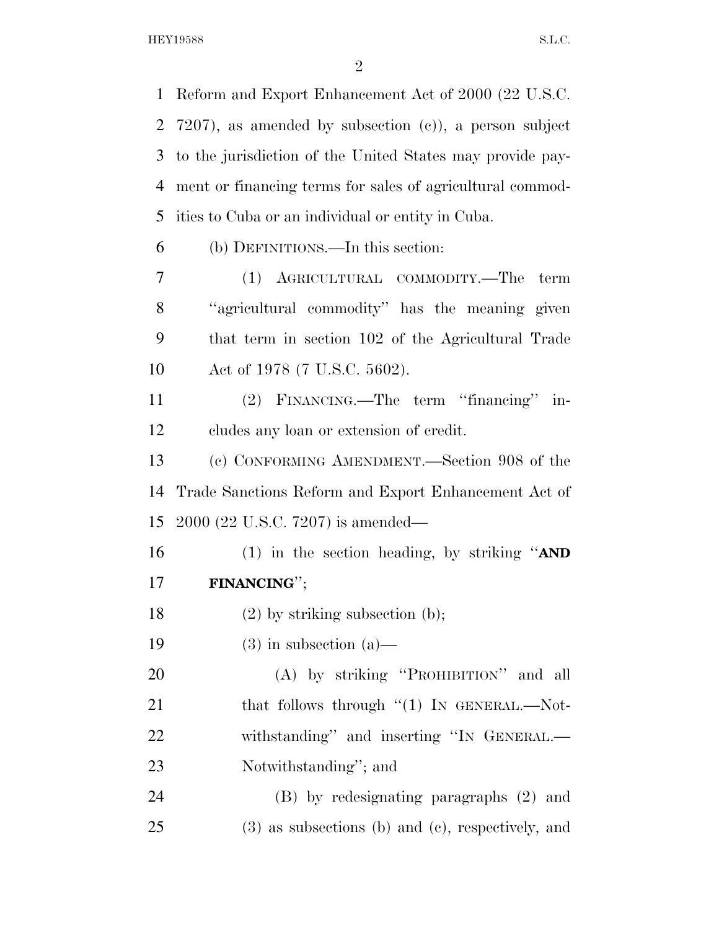HEY19588 S.L.C.

 Reform and Export Enhancement Act of 2000 (22 U.S.C. 7207), as amended by subsection (c)), a person subject to the jurisdiction of the United States may provide pay- ment or financing terms for sales of agricultural commod- ities to Cuba or an individual or entity in Cuba. (b) DEFINITIONS.—In this section: (1) AGRICULTURAL COMMODITY.—The term ''agricultural commodity'' has the meaning given that term in section 102 of the Agricultural Trade Act of 1978 (7 U.S.C. 5602). (2) FINANCING.—The term ''financing'' in- cludes any loan or extension of credit. (c) CONFORMING AMENDMENT.—Section 908 of the Trade Sanctions Reform and Export Enhancement Act of 2000 (22 U.S.C. 7207) is amended— (1) in the section heading, by striking ''**AND FINANCING**'';

(2) by striking subsection (b);

19 (3) in subsection  $(a)$ —

 (A) by striking ''PROHIBITION'' and all 21 that follows through "(1) IN GENERAL.—Not- withstanding'' and inserting ''IN GENERAL.— Notwithstanding''; and

 (B) by redesignating paragraphs (2) and (3) as subsections (b) and (c), respectively, and